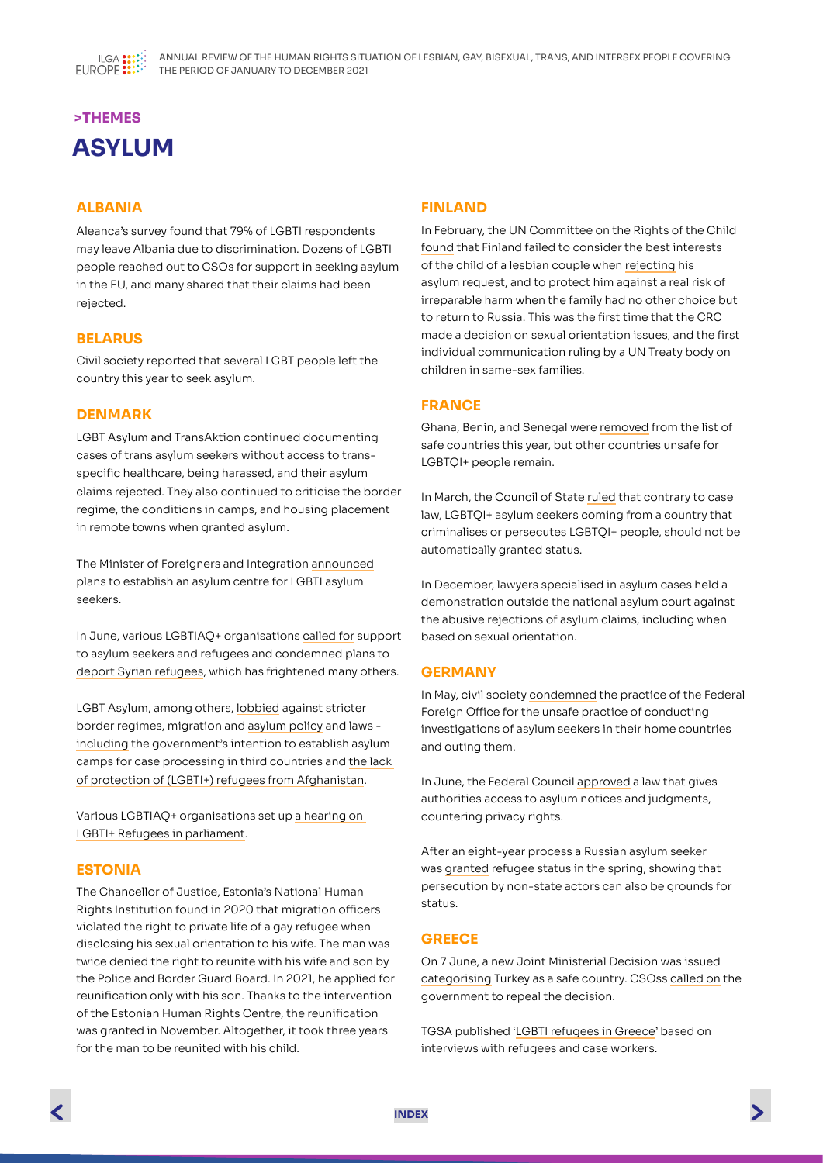

# **>THEMES ASYLUM**

## **ALBANIA**

Aleanca's survey found that 79% of LGBTI respondents may leave Albania due to discrimination. Dozens of LGBTI people reached out to CSOs for support in seeking asylum in the EU, and many shared that their claims had been rejected.

## **BELARUS**

Civil society reported that several LGBT people left the country this year to seek asylum.

## **DENMARK**

LGBT Asylum and TransAktion continued documenting cases of trans asylum seekers without access to transspecific healthcare, being harassed, and their asylum claims rejected. They also continued to criticise the border regime, the conditions in camps, and housing placement in remote towns when granted asylum.

The Minister of Foreigners and Integration [announced](https://politiken.dk/indland/art8176741/De-er-flygtet-fra-hjemlandet-p%C3%A5-grund-af-deres-seksualitet-men-oplever-chikane-i-Danmark-Nu-har-Tesfaye-en-ny-plan-for-dem) plans to establish an asylum centre for LGBTI asylum seekers.

In June, various LGBTIAQ+ organisations [called for](https://lgbtasylum.dk/website/wp-content/uploads/2021/06/Open-letter-from-LGBTI-organisations-about-refugee-politics_June-2021.pdf) support to asylum seekers and refugees and condemned plans to [deport Syrian refugees](https://jyllands-posten.dk/debat/breve/ECE12880569/hjemsendelsespolitikken-rammer-os-alle-haardt/?fbclid=IwAR2om2nxSflfnQ5DCPF1m1mrQWt9__5ac6uvncVv2uob5Q6yARQgRZjXQ8Y), which has frightened many others.

LGBT Asylum, among others, [lobbied](https://www.borgerforslag.dk/se-og-stoet-forslag/?Id=FT-07167&fbclid=IwAR1uBLwizT2uZXrs69EulL_ooeoKvGhau8cSoiewPsmPopjA1cCk2BlZ2Q8) against stricter border regimes, migration and [asylum policy](https://lgbtasylum.dk/article/8-marts-regeringens-asylpolitik-gor-det-svaerere-for-mennesker-der-forfolges-pa-grund-af-kon-eller-seksualitet/?fbclid=IwAR3RC9sj3Vo82rhVq6MqHZX5lBcqk8vfFWEFlcIja1a5aR31lphSePnkxwk) and laws [including](https://lgbtasylum.dk/article/inhumant-og-urealistisk-regeringen-bor-droppe-tanken-om-modtagecentre-for-asylansogere/?fbclid=IwAR1JZo7lCbT3j3ck4ryhZN_5RvrAfi_7Omhu9ai5xJgSz21em7kBCVZ2o0s) the government's intention to establish asylum camps for case processing in third countries and [the lack](https://pov.international/lgbti-personer-i-afghanistan/?fbclid=IwAR3NE7gF6HJ9Kgc8DK46CefWO_0b-xSZKQSCo6ckIibG9Y-V_9o-CioTDkY)  [of protection of \(LGBTI+\) refugees f](https://pov.international/lgbti-personer-i-afghanistan/?fbclid=IwAR3NE7gF6HJ9Kgc8DK46CefWO_0b-xSZKQSCo6ckIibG9Y-V_9o-CioTDkY)rom [Afghanistan](https://pov.international/lgbti-personer-i-afghanistan/?fbclid=IwAR3NE7gF6HJ9Kgc8DK46CefWO_0b-xSZKQSCo6ckIibG9Y-V_9o-CioTDkY).

Various LGBTIAQ+ organisations set up [a hearing on](https://vimeo.com/536216105?fbclid=IwAR3Pox2X71_pCi24BuJ79NqvoeNbqeF7aNCyRrGClAP_zCmup-kIpeQ5lns)  [LGBTI+ Refugees in parliament](https://vimeo.com/536216105?fbclid=IwAR3Pox2X71_pCi24BuJ79NqvoeNbqeF7aNCyRrGClAP_zCmup-kIpeQ5lns).

## **ESTONIA**

The Chancellor of Justice, Estonia's National Human Rights Institution found in 2020 that migration officers violated the right to private life of a gay refugee when disclosing his sexual orientation to his wife. The man was twice denied the right to reunite with his wife and son by the Police and Border Guard Board. In 2021, he applied for reunification only with his son. Thanks to the intervention of the Estonian Human Rights Centre, the reunification was granted in November. Altogether, it took three years for the man to be reunited with his child.

## **FINLAND**

In February, the UN Committee on the Rights of the Child [found](https://www.ilga-europe.org/resources/news/latest-news/finland-violated-rights-lesbian-mothers-child-rejecting-his-asylum) that Finland failed to consider the best interests of the child of a lesbian couple when [rejecting](https://seta.fi/2021/02/09/ykn-lasten-oikeuksien-komitea-suomi-loukkasi-sateenkaariparin-lapsen-oikeuksia/) his asylum request, and to protect him against a real risk of irreparable harm when the family had no other choice but to return to Russia. This was the first time that the CRC made a decision on sexual orientation issues, and the first individual communication ruling by a UN Treaty body on children in same-sex families.

## **FRANCE**

Ghana, Benin, and Senegal were [removed](https://ardhis.org/communique-de-presse-aucun-pays-nest-sur-le-conseil-detat-exclut-de-la-liste-des-pays-dorigine-dits-surs-le-benin-le-ghana-et-le-senegal/) from the list of safe countries this year, but other countries unsafe for LGBTQI+ people remain.

In March, the Council of State [ruled](https://ardhis.org/communique-de-presse-menaces-sur-le-droit-dasile-des-personnes-lgbti/) that contrary to case law, LGBTQI+ asylum seekers coming from a country that criminalises or persecutes LGBTQI+ people, should not be automatically granted status.

In December, lawyers specialised in asylum cases held a demonstration outside the national asylum court against the abusive rejections of asylum claims, including when based on sexual orientation.

## **GERMANY**

In May, civil society [condemned](https://www.lsvd.de/de/ct/5128-Auswaertiges-Amt-outet-schwule-und-bisexuelle-Asylsuchende-im-Herkunftsland) the practice of the Federal Foreign Office for the unsafe practice of conducting investigations of asylum seekers in their home countries and outing them.

In June, the Federal Council [approved](https://www.lsvd.de/de/ct/5411-Bundesrat-Fehleranfaellige-und-datenschutzwidrige-Speicherung-von-Asylbescheiden-und-Asylurteilen-im-Auslaenderzentralregister-zugestimmt) a law that gives authorities access to asylum notices and judgments, countering privacy rights.

After an eight-year process a Russian asylum seeker was [granted](https://www.dielinke-queer.de/nc/aktuelles/presse/detail/news/bamf-soll-sich-am-arnsberger-urteil-orientieren-asyl-fuer-lgbtiq-aus-russland-muss-standard-werden/) refugee status in the spring, showing that persecution by non-state actors can also be grounds for status.

## **GREECE**

On 7 June, a new Joint Ministerial Decision was issued [categorising](https://equal-rights.org/en/news/legal-policy-note-refugees-n-legal-limbo/?fbclid=IwAR0UfTya_56V3nfCQlad_NepogSl_DecbEor5wccEXT5fgpuysKX-_F5TuI) Turkey as a safe country. CSOss [called on](https://static1.squarespace.com/static/58e2b73fb3db2bb2904ca55b/t/60c7b6b7f6a1270c411767d9/1623701176234/PR_JMD+Turkey_EN+(final).pdf) the government to repeal the decision.

TGSA published ['LGBTI refugees in Greece](https://transgendersupportassociation.wordpress.com/2021/08/05/%CE%B4%CE%B5%CE%BB%CF%84%CE%B9%CE%BF-%CF%84%CF%85%CF%80%CE%BF%CF%85-%CE%BB%CE%BF%CE%B1%CF%84%CE%BA%CE%B9-%CF%80%CF%81%CF%8C%CF%83%CF%86%CF%85%CE%B3%CE%B5%CF%82-%CF%83%CF%84%CE%B7%CE%BD-%CE%B5/)' based on interviews with refugees and case workers.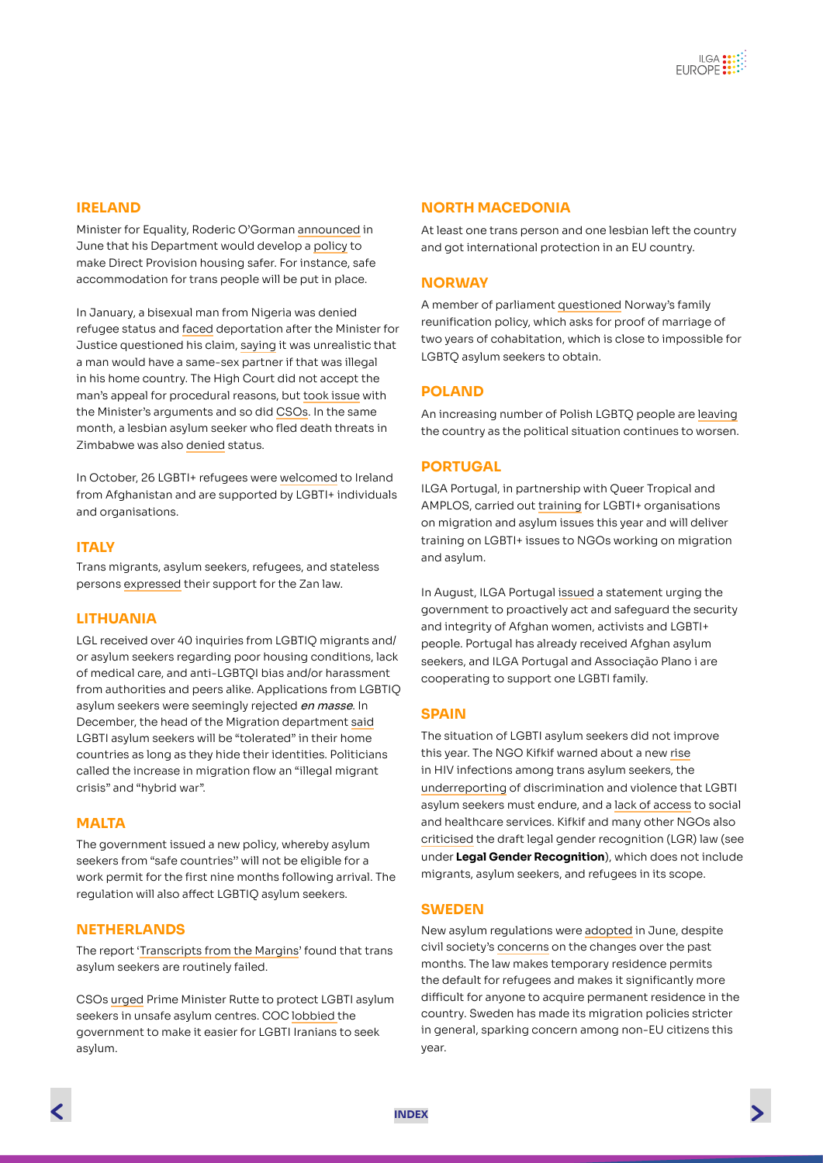## **IRELAND**

Minister for Equality, Roderic O'Gorman [announced](https://gcn.ie/direct-provision-lgbtq-residents-new-policy/) in June that his Department would develop a [policy](https://gcn.ie/direct-provision-replaced-over-next-four-years/) to make Direct Provision housing safer. For instance, safe accommodation for trans people will be put in place.

In January, a bisexual man from Nigeria was denied refugee status and [faced](https://www.irishexaminer.com/news/arid-40217012.html) deportation after the Minister for Justice questioned his claim, [saying](https://twitter.com/masi_asylum/status/1353782823304441860?ref_src=twsrc%5Etfw%7Ctwcamp%5Etweetembed%7Ctwterm%5E1353782823304441860%7Ctwgr%5E%7Ctwcon%5Es1_&ref_url=https://www.irishexaminer.com/news/arid-40217012.html) it was unrealistic that a man would have a same-sex partner if that was illegal in his home country. The High Court did not accept the man's appeal for procedural reasons, but [took issue](https://gcn.ie/high-court-denies-man-asylum-gay-home/) with the Minister's arguments and so did [CSOs.](https://gcn.ie/nxf-statement-department-justice-asylum-seeker/) In the same month, a lesbian asylum seeker who fled death threats in Zimbabwe was also [denied](https://www.pinknews.co.uk/2021/01/23/zimbabwe-lesbian-ireland-asylum-refugee-denied-international-protection-officer-court/) status.

In October, 26 LGBTI+ refugees were [welcomed](https://www.thejournal.ie/ireland-has-now-offered-humanitarian-access-to-400-afghans-5557357-Sep2021/) to Ireland from Afghanistan and are supported by LGBTI+ individuals and organisations.

## **ITALY**

Trans migrants, asylum seekers, refugees, and stateless persons [expressed](https://www.google.com/url?q=https://mit-italia.it/noi-persone-migrant%25c9%2599-rifugiat%25c9%2599-richident%25c9%2599-asilo-e-apolid%25c9%2599-trans-prendiamo-parola-sul-ddl-zan/&sa=D&source=docs&ust=1635236095979000&usg=AOvVaw285KbDkMhlsKzWscE33Ot4) their support for the Zan law.

#### **LITHUANIA**

LGL received over 40 inquiries from LGBTIO migrants and/ or asylum seekers regarding poor housing conditions, lack of medical care, and anti-LGBTQI bias and/or harassment from authorities and peers alike. Applications from LGBTIQ asylum seekers were seemingly rejected en masse. In December, the head of the Migration department [said](https://www.lrt.lt/naujienos/lietuvoje/2/1560252/migracijos-departamento-vadove-ginasi-del-lgbt-asmenu-prieglobscio-proceduru-homoseksualiu-populiaru-apsimesti) LGBTI asylum seekers will be "tolerated" in their home countries as long as they hide their identities. Politicians called the increase in migration flow an "illegal migrant crisis" and "hybrid war".

#### **MALTA**

The government issued a new policy, whereby asylum seekers from "safe countries'' will not be eligible for a work permit for the first nine months following arrival. The regulation will also affect LGBTIQ asylum seekers.

#### **NETHERLANDS**

The report ['Transcripts from the Margins](https://www.transgendernetwerk.nl/asielverzoeken-onzorgvuldig-behandeld/)' found that trans asylum seekers are routinely failed.

CSOs [urged](https://lgbtasylumsupport.nl/wp-content/uploads/2021/03/2021-03-01-Brandbrief-falend-lhbti-beleid-lhbti-asielzoekers-2-1.pdf) Prime Minister Rutte to protect LGBTI asylum seekers in unsafe asylum centres. COC [lobbied](https://www.coc.nl/internationaal/coc-dringt-opnieuw-aan-op-asiel-voor-lhbtis-uit-iran) the government to make it easier for LGBTI Iranians to seek asylum.

#### **NORTH MACEDONIA**

At least one trans person and one lesbian left the country and got international protection in an EU country.

#### **NORWAY**

A member of parliament [questioned](https://www.skeivverden.no/nyheter/lgbtrefugees) Norway's family reunification policy, which asks for proof of marriage of two years of cohabitation, which is close to impossible for LGBTQ asylum seekers to obtain.

## **POLAND**

An increasing number of Polish LGBTQ people are [leaving](https://www.nytimes.com/2021/04/24/world/europe/poland-lgbtq-gay-migration.html) the country as the political situation continues to worsen.

#### **PORTUGAL**

ILGA Portugal, in partnership with Queer Tropical and AMPLOS, carried out [training](https://www.ilga-portugal.pt/projetos/way-out/) for LGBTI+ organisations on migration and asylum issues this year and will deliver training on LGBTI+ issues to NGOs working on migration and asylum.

In August, ILGA Portugal [issued](https://www.ilga-portugal.pt/afeganistao-ilga-portugal-interpela-governo-portugues/) a statement urging the government to proactively act and safeguard the security and integrity of Afghan women, activists and LGBTI+ people. Portugal has already received Afghan asylum seekers, and ILGA Portugal and Associação Plano i are cooperating to support one LGBTI family.

#### **SPAIN**

The situation of LGBTI asylum seekers did not improve this year. The NGO Kifkif warned about a new [rise](https://kifkif.info/kifkif-alerta-del-incremento-de-casos-positivos-por-vih-en-refugiados-lgtbi-especialmente-entre-mujeres-trans-migrantes/) in HIV infections among trans asylum seekers, the [underreporting](https://kifkif.info/kifkif-hace-un-llamamiento-ante-el-aumento-de-infradenuncias-de-migrantes-lgtbi-por-miedo-a-represalias/) of discrimination and violence that LGBTI asylum seekers must endure, and a [lack of access](https://kifkif.info/kifkif-pone-de-manifiesto-la-necesidad-de-una-atencion-sociosanitaria-de-calidad-en-condiciones-de-igualdad-para-las-personas-migrantes-y-solicitantes-de-proteccion-internacional-lgbtiq/) to social and healthcare services. Kifkif and many other NGOs also [criticised](https://kifkif.info/kifkif-reclama-la-inclusion-de-las-personas-trans-migrantes-refugiadas-y-solicitantes-de-asilo-en-la-ley-trans-y-lamenta-su-exclusion-en-la-propuesta-que-ha-aprobado-este-martes-el-consejo-de-ministr/) the draft legal gender recognition (LGR) law (see under **Legal Gender Recognition**), which does not include migrants, asylum seekers, and refugees in its scope.

## **SWEDEN**

New asylum regulations were [adopted](https://www.qx.se/samhalle/212675/bekymrat-rfsl-ville-se-permanenta-uppehallstillstand-som-huvudregel/) in June, despite civil society's [concerns](https://www.rfsl.se/aktuellt/ny-asyllag-negativ-for-skyddsbehovande-hbtqi-personer/) on the changes over the past months. The law makes temporary residence permits the default for refugees and makes it significantly more difficult for anyone to acquire permanent residence in the country. Sweden has made its migration policies stricter in general, sparking concern among non-EU citizens this year.